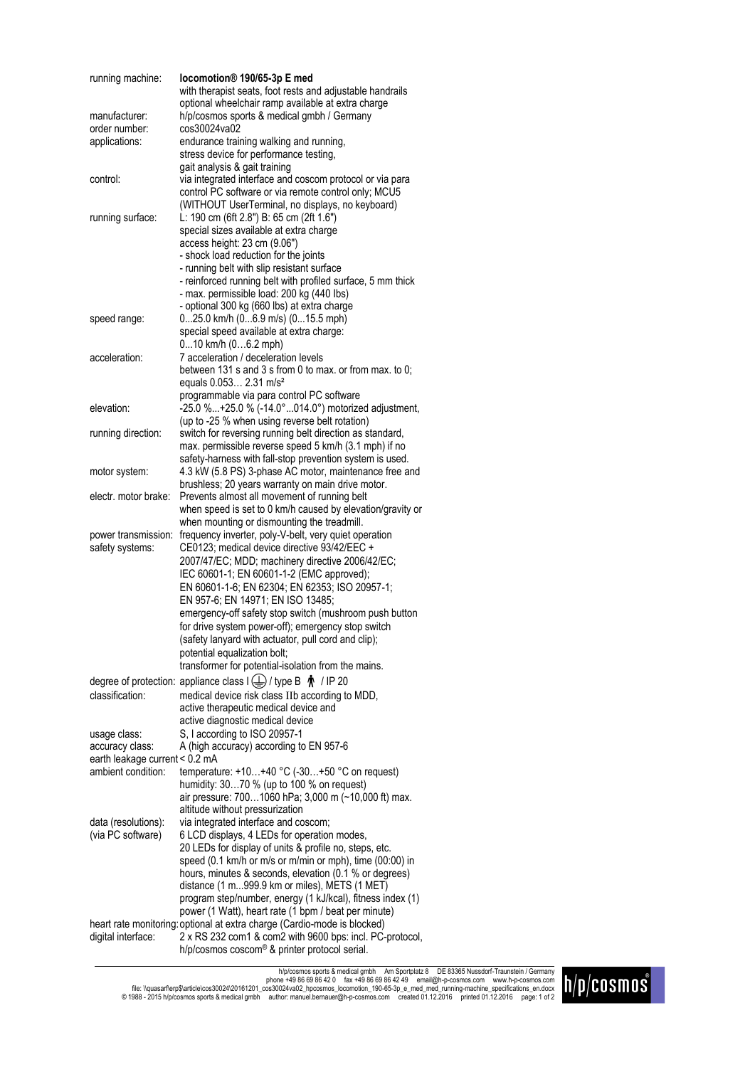| running machine:                                     | locomotion® 190/65-3p E med                                                                                               |
|------------------------------------------------------|---------------------------------------------------------------------------------------------------------------------------|
|                                                      | with therapist seats, foot rests and adjustable handrails                                                                 |
|                                                      | optional wheelchair ramp available at extra charge                                                                        |
| manufacturer:                                        | h/p/cosmos sports & medical gmbh / Germany                                                                                |
| order number:                                        | cos30024va02                                                                                                              |
| applications:                                        | endurance training walking and running,                                                                                   |
|                                                      | stress device for performance testing,                                                                                    |
|                                                      | gait analysis & gait training                                                                                             |
| control:                                             | via integrated interface and coscom protocol or via para<br>control PC software or via remote control only; MCU5          |
|                                                      | (WITHOUT UserTerminal, no displays, no keyboard)                                                                          |
| running surface:                                     | L: 190 cm (6ft 2.8") B: 65 cm (2ft 1.6")                                                                                  |
|                                                      | special sizes available at extra charge                                                                                   |
|                                                      | access height: 23 cm (9.06")                                                                                              |
|                                                      | - shock load reduction for the joints                                                                                     |
|                                                      | - running belt with slip resistant surface                                                                                |
|                                                      | - reinforced running belt with profiled surface, 5 mm thick                                                               |
|                                                      | - max. permissible load: 200 kg (440 lbs)                                                                                 |
|                                                      | - optional 300 kg (660 lbs) at extra charge                                                                               |
| speed range:                                         | 025.0 km/h (06.9 m/s) (015.5 mph)                                                                                         |
|                                                      | special speed available at extra charge:                                                                                  |
|                                                      | 010 km/h (06.2 mph)                                                                                                       |
| acceleration:                                        | 7 acceleration / deceleration levels                                                                                      |
|                                                      | between 131 s and 3 s from 0 to max. or from max. to 0;                                                                   |
|                                                      | equals 0.053 2.31 m/s <sup>2</sup>                                                                                        |
|                                                      | programmable via para control PC software                                                                                 |
| elevation:                                           | -25.0 %+25.0 % (-14.0°014.0°) motorized adjustment,                                                                       |
|                                                      | (up to -25 % when using reverse belt rotation)                                                                            |
| running direction:                                   | switch for reversing running belt direction as standard,<br>max. permissible reverse speed 5 km/h (3.1 mph) if no         |
|                                                      | safety-harness with fall-stop prevention system is used.                                                                  |
| motor system:                                        | 4.3 kW (5.8 PS) 3-phase AC motor, maintenance free and                                                                    |
|                                                      | brushless; 20 years warranty on main drive motor.                                                                         |
| electr. motor brake:                                 | Prevents almost all movement of running belt                                                                              |
|                                                      | when speed is set to 0 km/h caused by elevation/gravity or                                                                |
|                                                      | when mounting or dismounting the treadmill.                                                                               |
| power transmission:                                  | frequency inverter, poly-V-belt, very quiet operation                                                                     |
| safety systems:                                      | CE0123; medical device directive 93/42/EEC +                                                                              |
|                                                      | 2007/47/EC; MDD; machinery directive 2006/42/EC;                                                                          |
|                                                      | IEC 60601-1; EN 60601-1-2 (EMC approved);                                                                                 |
|                                                      | EN 60601-1-6; EN 62304; EN 62353; ISO 20957-1;                                                                            |
|                                                      | EN 957-6; EN 14971; EN ISO 13485;                                                                                         |
|                                                      | emergency-off safety stop switch (mushroom push button                                                                    |
|                                                      | for drive system power-off); emergency stop switch                                                                        |
|                                                      | (safety lanyard with actuator, pull cord and clip);                                                                       |
|                                                      | potential equalization bolt;                                                                                              |
|                                                      | transformer for potential-isolation from the mains.                                                                       |
|                                                      | degree of protection: appliance class $I(\underline{\underline{+}})$ / type B $\stackrel{\bullet}{\blacklozenge}$ / IP 20 |
| classification:                                      | medical device risk class IIb according to MDD,                                                                           |
|                                                      | active therapeutic medical device and                                                                                     |
|                                                      | active diagnostic medical device                                                                                          |
| usage class:                                         | S, I according to ISO 20957-1                                                                                             |
| accuracy class:                                      | A (high accuracy) according to EN 957-6                                                                                   |
| earth leakage current < 0.2 mA<br>ambient condition: |                                                                                                                           |
|                                                      | temperature: $+10+40$ °C (-30+50 °C on request)<br>humidity: 3070 % (up to 100 % on request)                              |
|                                                      | air pressure: 7001060 hPa; 3,000 m (~10,000 ft) max.                                                                      |
|                                                      | altitude without pressurization                                                                                           |
| data (resolutions):                                  | via integrated interface and coscom;                                                                                      |
| (via PC software)                                    | 6 LCD displays, 4 LEDs for operation modes,                                                                               |
|                                                      | 20 LEDs for display of units & profile no, steps, etc.                                                                    |
|                                                      | speed (0.1 km/h or m/s or m/min or mph), time (00:00) in                                                                  |
|                                                      | hours, minutes & seconds, elevation (0.1 % or degrees)                                                                    |
|                                                      | distance (1 m999.9 km or miles), METS (1 MET)                                                                             |
|                                                      | program step/number, energy (1 kJ/kcal), fitness index (1)                                                                |
|                                                      | power (1 Watt), heart rate (1 bpm / beat per minute)                                                                      |
|                                                      | heart rate monitoring: optional at extra charge (Cardio-mode is blocked)                                                  |
| digital interface:                                   | 2 x RS 232 com1 & com2 with 9600 bps: incl. PC-protocol,                                                                  |
|                                                      | h/p/cosmos coscom® & printer protocol serial.                                                                             |